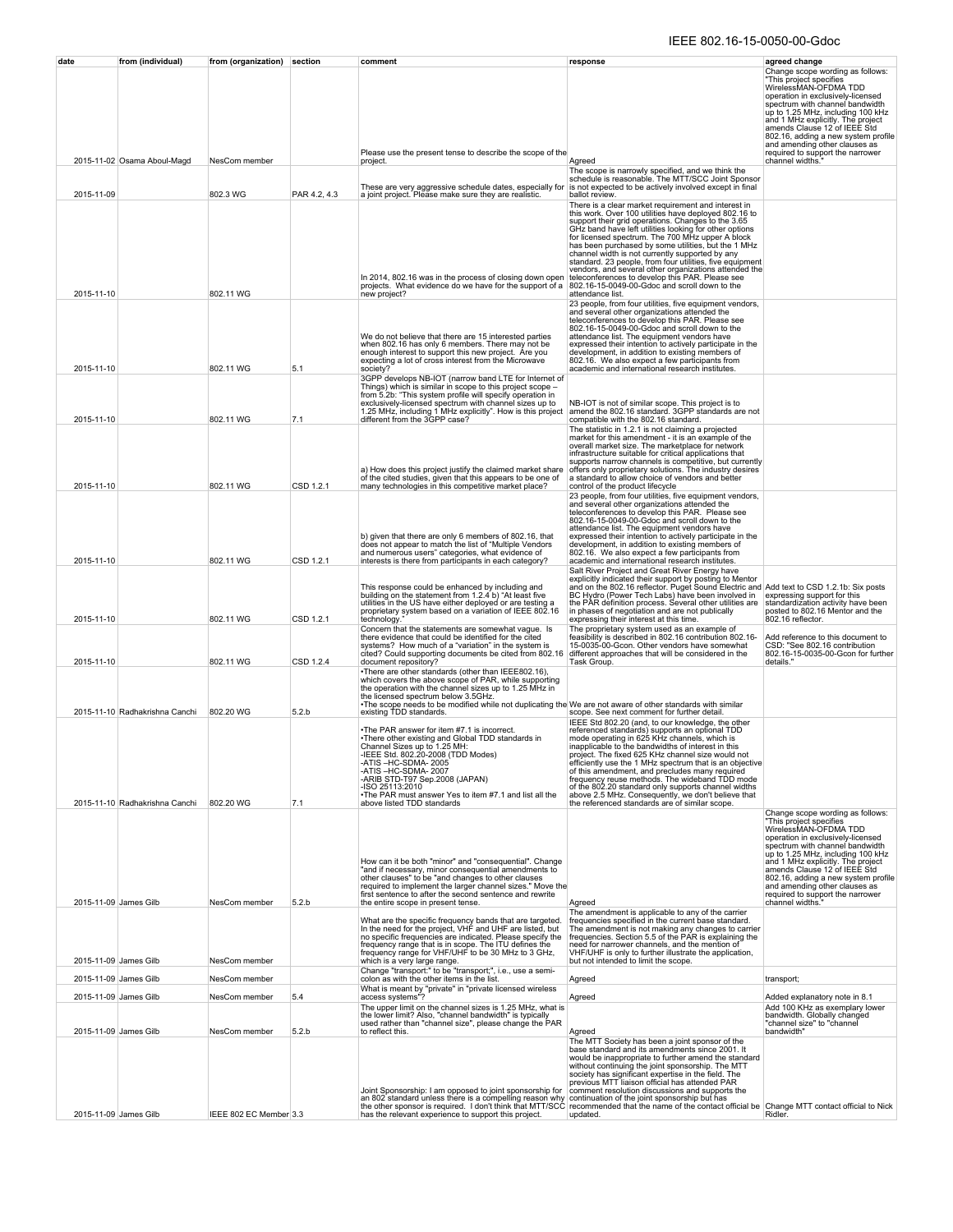## IEEE 802.16-15-0050-00-Gdoc

| date                                           | from (individual)              | from (organization) section    |                        | comment                                                                                                                                                                                                                                                                                                                                                                                                                                                                            | response                                                                                                                                                                                                                                                                                                                                                                                                                                                                                                                                                                                                                                                                                                                                                                                                                                                                                            | agreed change                                                                                                                                                                                                                                                                                                                                                                                                                |
|------------------------------------------------|--------------------------------|--------------------------------|------------------------|------------------------------------------------------------------------------------------------------------------------------------------------------------------------------------------------------------------------------------------------------------------------------------------------------------------------------------------------------------------------------------------------------------------------------------------------------------------------------------|-----------------------------------------------------------------------------------------------------------------------------------------------------------------------------------------------------------------------------------------------------------------------------------------------------------------------------------------------------------------------------------------------------------------------------------------------------------------------------------------------------------------------------------------------------------------------------------------------------------------------------------------------------------------------------------------------------------------------------------------------------------------------------------------------------------------------------------------------------------------------------------------------------|------------------------------------------------------------------------------------------------------------------------------------------------------------------------------------------------------------------------------------------------------------------------------------------------------------------------------------------------------------------------------------------------------------------------------|
|                                                |                                |                                |                        |                                                                                                                                                                                                                                                                                                                                                                                                                                                                                    |                                                                                                                                                                                                                                                                                                                                                                                                                                                                                                                                                                                                                                                                                                                                                                                                                                                                                                     | Change scope wording as follows:<br>"This project specifies<br>WirelessMAN-OFDMA TDD<br>operation in exclusively-licensed<br>spectrum with channel bandwidth<br>up to 1.25 MHz, including 100 kHz<br>and 1 MHz explicitly. The project<br>amends Clause 12 of IEEE Std<br>802.16, adding a new system profile                                                                                                                |
|                                                |                                |                                |                        | Please use the present tense to describe the scope of the                                                                                                                                                                                                                                                                                                                                                                                                                          |                                                                                                                                                                                                                                                                                                                                                                                                                                                                                                                                                                                                                                                                                                                                                                                                                                                                                                     | and amending other clauses as<br>required to support the narrower                                                                                                                                                                                                                                                                                                                                                            |
| 2015-11-09                                     | 2015-11-02 Osama Aboul-Magd    | NesCom member<br>802.3 WG      | PAR 4.2, 4.3           | project.<br>These are very aggressive schedule dates, especially for<br>a joint project. Please make sure they are realistic.                                                                                                                                                                                                                                                                                                                                                      | Agreed<br>The scope is narrowly specified, and we think the<br>schedule is reasonable. The MTT/SCC Joint Sponsor<br>is not expected to be actively involved except in final<br>ballot review.                                                                                                                                                                                                                                                                                                                                                                                                                                                                                                                                                                                                                                                                                                       | channel widths."                                                                                                                                                                                                                                                                                                                                                                                                             |
| 2015-11-10                                     |                                | 802.11 WG                      |                        | In 2014, 802.16 was in the process of closing down open<br>projects. What evidence do we have for the support of a<br>new project?                                                                                                                                                                                                                                                                                                                                                 | There is a clear market requirement and interest in<br>this work. Over 100 utilities have deployed 802.16 to<br>support their grid operations. Changes to the 3.65<br>GHz band have left utilities looking for other options<br>for licensed spectrum. The 700 MHz upper A block<br>has been purchased by some utilities, but the 1 MHz<br>channel width is not currently supported by any<br>standard. 23 people, from four utilities, five equipment<br>vendors, and several other organizations attended the<br>teleconferences to develop this PAR. Please see<br>802.16-15-0049-00-Gdoc and scroll down to the<br>attendance list.                                                                                                                                                                                                                                                             |                                                                                                                                                                                                                                                                                                                                                                                                                              |
| 2015-11-10                                     |                                | 802.11 WG                      | 5.1                    | We do not believe that there are 15 interested parties<br>when 802.16 has only 6 members. There may not be enough interest to support this new project. Are you<br>expecting a lot of cross interest from the Microwave<br>society?                                                                                                                                                                                                                                                | 23 people, from four utilities, five equipment vendors,<br>and several other organizations attended the<br>teleconferences to develop this PAR. Please see<br>802.16-15-0049-00-Gdoc and scroll down to the<br>attendance list. The equipment vendors have<br>expressed their intention to actively participate in the<br>development, in addition to existing members of<br>802.16. We also expect a few participants from<br>academic and international research institutes.                                                                                                                                                                                                                                                                                                                                                                                                                      |                                                                                                                                                                                                                                                                                                                                                                                                                              |
| 2015-11-10                                     |                                | 802.11 WG                      | 7.1                    | 3GPP develops NB-IOT (narrow band LTE for Internet of<br>Things) which is similar in scope to this project scope -<br>from 5.2b: "This system profile will specify operation in<br>exclusively-licensed spectrum with channel sizes up to<br>1.25 MHz, including 1 MHz explicitly". How is this project<br>different from the 3GPP case?                                                                                                                                           | NB-IOT is not of similar scope. This project is to<br>amend the 802.16 standard. 3GPP standards are not<br>compatible with the 802.16 standard.                                                                                                                                                                                                                                                                                                                                                                                                                                                                                                                                                                                                                                                                                                                                                     |                                                                                                                                                                                                                                                                                                                                                                                                                              |
| 2015-11-10                                     |                                | 802.11 WG                      | CSD 1.2.1              | a) How does this project justify the claimed market share<br>of the cited studies, given that this appears to be one of<br>many technologies in this competitive market place?                                                                                                                                                                                                                                                                                                     | The statistic in 1.2.1 is not claiming a projected<br>market for this amendment - it is an example of the<br>overall market size. The marketplace for network<br>infrastructure suitable for critical applications that<br>supports narrow channels is competitive, but currently<br>offers only proprietary solutions. The industry desires<br>a standard to allow choice of vendors and better<br>control of the product lifecycle                                                                                                                                                                                                                                                                                                                                                                                                                                                                |                                                                                                                                                                                                                                                                                                                                                                                                                              |
| 2015-11-10<br>2015-11-10                       |                                | 802.11 WG<br>802.11 WG         | CSD 1.2.1<br>CSD 1.2.1 | b) given that there are only 6 members of 802.16, that<br>does not appear to match the list of "Multiple Vendors"<br>and numerous users" categories, what evidence of<br>interests is there from participants in each category?<br>This response could be enhanced by including and<br>building on the statement from 1.2.4 b) "At least five<br>utilities in the US have either deployed or are testing a<br>proprietary system based on a variation of IEEE 802.16<br>technology | 23 people, from four utilities, five equipment vendors,<br>and several other organizations attended the<br>teleconferences to develop this PAR. Please see<br>802.16-15-0049-00-Gdoc and scroll down to the<br>attendance list. The equipment vendors have<br>expressed their intention to actively participate in the<br>development, in addition to existing members of<br>802.16. We also expect a few participants from<br>academic and international research institutes.<br>Salt River Project and Great River Energy have<br>explicitly indicated their support by posting to Mentor<br>and on the 802.16 reflector. Puget Sound Electric and Add text to CSD 1.2.1b: Six posts<br>BC Hydro (Power Tech Labs) have been involved in<br>the PAR definition process. Several other utilities are<br>in phases of negotiation and are not publically<br>expressing their interest at this time. | expressing support for this<br>standardization activity have been<br>posted to 802.16 Mentor and the<br>802.16 reflector.                                                                                                                                                                                                                                                                                                    |
| 2015-11-10                                     |                                | 802.11 WG                      | CSD 1.2.4              | Concern that the statements are somewhat vague. Is<br>there evidence that could be identified for the cited<br>systems? How much of a "variation" in the system is<br>cited? Could supporting documents be cited from 802.16<br>document repository?                                                                                                                                                                                                                               | The proprietary system used as an example of<br>feasibility is described in 802.16 contribution 802.16-<br>15-0035-00-Gcon. Other vendors have somewhat<br>different approaches that will be considered in the<br>Task Group.                                                                                                                                                                                                                                                                                                                                                                                                                                                                                                                                                                                                                                                                       | Add reference to this document to<br>CSD: "See 802.16 contribution<br>802.16-15-0035-00-Gcon for further<br>details.'                                                                                                                                                                                                                                                                                                        |
|                                                | 2015-11-10 Radhakrishna Canchi | 802.20 WG                      | 5.2.b                  | •There are other standards (other than IEEE802.16),<br>which covers the above scope of PAR, while supporting<br>the operation with the channel sizes up to 1.25 MHz in<br>the licensed spectrum below 3.5GHz.<br>-The scope needs to be modified while not duplicating the We are not aware of other standards with similar existing TDD standards. Scope. See next comment for further detail.                                                                                    |                                                                                                                                                                                                                                                                                                                                                                                                                                                                                                                                                                                                                                                                                                                                                                                                                                                                                                     |                                                                                                                                                                                                                                                                                                                                                                                                                              |
|                                                | 2015-11-10 Radhakrishna Canchi | 802.20 WG                      | 7.1                    | The PAR answer for item #7.1 is incorrect.<br>•There other existing and Global TDD standards in<br>Channel Sizes up to 1.25 MH:<br>-IEEE Std. 802.20-2008 (TDD Modes)<br>-ATIS-HC-SDMA-2005<br>-ATIS –HC-SDMA- 2007<br>-ARIB STD-T97 Sep.2008 (JAPAN)<br>-ISO 25113:2010<br>. The PAR must answer Yes to item #7.1 and list all the<br>above listed TDD standards                                                                                                                  | IEEE Std 802.20 (and, to our knowledge, the other<br>referenced standards) supports an optional TDD<br>mode operating in 625 KHz channels, which is<br>inapplicable to the bandwidths of interest in this<br>bject. The fixed 625 KHz channel size would not<br>efficiently use the 1 MHz spectrum that is an objective<br>of this amendment, and precludes many required<br>frequency reuse methods. The wideband TDD mode<br>of the 802.20 standard only supports channel widths<br>above 2.5 MHz. Consequently, we don't believe that<br>the referenced standards are of similar scope.                                                                                                                                                                                                                                                                                                          |                                                                                                                                                                                                                                                                                                                                                                                                                              |
| 2015-11-09 James Gilb                          |                                | NesCom member                  | 5.2.b                  | How can it be both "minor" and "consequential". Change<br>"and if necessary, minor consequential amendments to<br>other clauses" to be "and changes to other clauses<br>required to implement the larger channel sizes." Move the<br>first sentence to after the second sentence and rewrite<br>the entire scope in present tense.                                                                                                                                                 | Agreed                                                                                                                                                                                                                                                                                                                                                                                                                                                                                                                                                                                                                                                                                                                                                                                                                                                                                              | Change scope wording as follows:<br>This project specifies<br>WirelessMAN-OFDMA TDD<br>operation in exclusively-licensed<br>spectrum with channel bandwidth<br>specient with channel to the state of the definition of the and 1 MHz explicitly. The project<br>amends Clause 12 of IEEE Std<br>802.16, adding a new system profile<br>and amending other clauses as<br>required to support the narrower<br>channel widths." |
|                                                |                                |                                |                        | What are the specific frequency bands that are targeted.<br>In the need for the project, VHF and UHF are listed, but<br>no specific frequencies are indicated. Please specify the<br>frequency range that is in scope. The ITU defines the<br>frequency range for VHF/UHF to be 30 MHz to 3 GHz,                                                                                                                                                                                   | The amendment is applicable to any of the carrier<br>frequencies specified in the current base standard.<br>The amendment is not making any changes to carrier<br>frequencies. Section 5.5 of the PAR is explaining the<br>need for narrower channels, and the mention of<br>VHF/UHF is only to further illustrate the application,                                                                                                                                                                                                                                                                                                                                                                                                                                                                                                                                                                 |                                                                                                                                                                                                                                                                                                                                                                                                                              |
| 2015-11-09 James Gilb                          |                                | NesCom member                  |                        | which is a very large range.<br>Change "transport:" to be "transport;", i.e., use a semi-                                                                                                                                                                                                                                                                                                                                                                                          | but not intended to limit the scope.                                                                                                                                                                                                                                                                                                                                                                                                                                                                                                                                                                                                                                                                                                                                                                                                                                                                |                                                                                                                                                                                                                                                                                                                                                                                                                              |
| 2015-11-09 James Gilb                          |                                | NesCom member                  |                        | colon as with the other items in the list.<br>What is meant by "private" in "private licensed wireless                                                                                                                                                                                                                                                                                                                                                                             | Agreed                                                                                                                                                                                                                                                                                                                                                                                                                                                                                                                                                                                                                                                                                                                                                                                                                                                                                              | transport;                                                                                                                                                                                                                                                                                                                                                                                                                   |
| 2015-11-09 James Gilb<br>2015-11-09 James Gilb |                                | NesCom member<br>NesCom member | 5.4<br>5.2.b           | access systems"?<br>The upper limit on the channel sizes is 1.25 MHz, what is<br>the lower limit? Also, "channel bandwidth" is typically<br>used rather than "channel size", please change the PAR<br>to reflect this.                                                                                                                                                                                                                                                             | Agreed<br>Agreed                                                                                                                                                                                                                                                                                                                                                                                                                                                                                                                                                                                                                                                                                                                                                                                                                                                                                    | Added explanatory note in 8.1<br>Add 100 KHz as exemplary lower<br>bandwidth. Globally changed<br>"channel size" to "channel<br>bandwidth"                                                                                                                                                                                                                                                                                   |
| 2015-11-09 James Gilb                          |                                | IEEE 802 EC Member 3.3         |                        | Joint Sponsorship: I am opposed to joint sponsorship for<br>an 802 standard unless there is a compelling reason why<br>the other sponsor is required. I don't think that MTT/SCC<br>has the relevant experience to support this project                                                                                                                                                                                                                                            | The MTT Society has been a joint sponsor of the<br>base standard and its amendments since 2001. It<br>would be inappropriate to further amend the standard<br>without continuing the joint sponsorship. The MTT<br>society has significant expertise in the field. The<br>previous MTT liaison official has attended PAR<br>comment resolution discussions and supports the<br>continuation of the joint sponsorship but has<br>recommended that the name of the contact official be Change MTT contact official to Nick<br>updated.                                                                                                                                                                                                                                                                                                                                                                | Ridler.                                                                                                                                                                                                                                                                                                                                                                                                                      |
|                                                |                                |                                |                        |                                                                                                                                                                                                                                                                                                                                                                                                                                                                                    |                                                                                                                                                                                                                                                                                                                                                                                                                                                                                                                                                                                                                                                                                                                                                                                                                                                                                                     |                                                                                                                                                                                                                                                                                                                                                                                                                              |